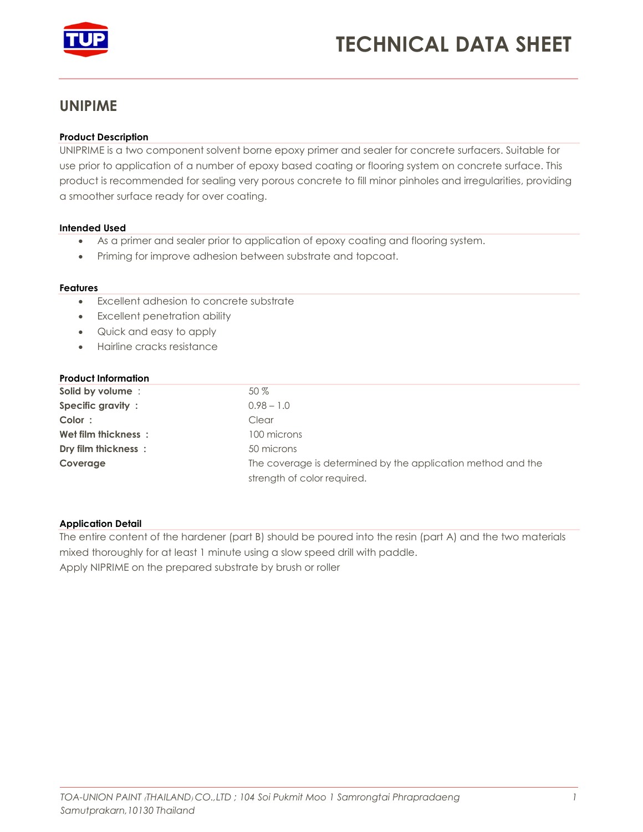

# **TECHNICAL DATA SHEET**

# **UNIPIME**

## **Product Description**

UNIPRIME is a two component solvent borne epoxy primer and sealer for concrete surfacers. Suitable for use prior to application of a number of epoxy based coating or flooring system on concrete surface. This product is recommended for sealing very porous concrete to fill minor pinholes and irregularities, providing a smoother surface ready for over coating.

#### **Intended Used**

- As a primer and sealer prior to application of epoxy coating and flooring system.
- Priming for improve adhesion between substrate and topcoat.

#### **Features**

- Excellent adhesion to concrete substrate
- Excellent penetration ability
- Quick and easy to apply
- Hairline cracks resistance

# **Product Information**

| Solid by volume:    | $50\%$                                                       |
|---------------------|--------------------------------------------------------------|
| Specific gravity:   | $0.98 - 1.0$                                                 |
| Color:              | Clear                                                        |
| Wet film thickness: | 100 microns                                                  |
| Dry film thickness: | 50 microns                                                   |
| Coverage            | The coverage is determined by the application method and the |
|                     | strength of color required.                                  |

#### **Application Detail**

The entire content of the hardener (part B) should be poured into the resin (part A) and the two materials mixed thoroughly for at least 1 minute using a slow speed drill with paddle. Apply NIPRIME on the prepared substrate by brush or roller